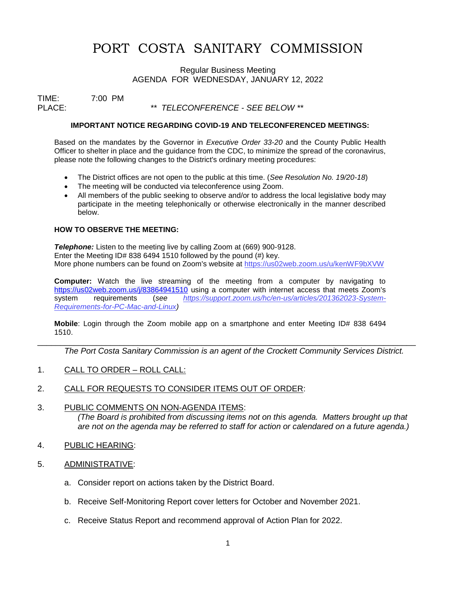# PORT COSTA SANITARY COMMISSION

Regular Business Meeting AGENDA FOR WEDNESDAY, JANUARY 12, 2022

TIME: 7:00 PM<br>PLACE:

PLACE: *\*\* TELECONFERENCE - SEE BELOW \*\**

#### **IMPORTANT NOTICE REGARDING COVID-19 AND TELECONFERENCED MEETINGS:**

Based on the mandates by the Governor in *Executive Order 33-20* and the County Public Health Officer to shelter in place and the guidance from the CDC, to minimize the spread of the coronavirus, please note the following changes to the District's ordinary meeting procedures:

- The District offices are not open to the public at this time. (*See Resolution No. 19/20-18*)
- The meeting will be conducted via teleconference using Zoom.
- All members of the public seeking to observe and/or to address the local legislative body may participate in the meeting telephonically or otherwise electronically in the manner described below.

### **HOW TO OBSERVE THE MEETING:**

**Telephone:** Listen to the meeting live by calling Zoom at (669) 900-9128. Enter the Meeting ID# 838 6494 1510 followed by the pound (#) key. More phone numbers can be found on Zoom's website at [https://us02web.zoom.us/u/k](https://us02web.zoom.us/u/)enWF9bXVW

**Computer:** Watch the live streaming of the meeting from a computer by navigating to <https://us02web.zoom.us/j/83864941510> using a computer with internet access that meets Zoom's system requirements (*see [https://support.zoom.us/hc/en-us/articles/201362023-System-](https://support.zoom.us/hc/en-us/articles/201362023-System-Requirements-for-PC-Mac-and-Linux)[Requirements-for-PC-Mac-and-Linux\)](https://support.zoom.us/hc/en-us/articles/201362023-System-Requirements-for-PC-Mac-and-Linux)*

**Mobile**: Login through the Zoom mobile app on a smartphone and enter Meeting ID# 838 6494 1510.

\_\_\_\_\_\_\_\_\_\_\_\_\_\_\_\_\_\_\_\_\_\_\_\_\_\_\_\_\_\_\_\_\_\_\_\_\_\_\_\_\_\_\_\_\_\_\_\_\_\_\_\_\_\_\_\_\_\_\_\_\_\_\_\_\_\_\_\_\_\_\_\_\_\_\_\_\_\_\_\_\_\_\_

*The Port Costa Sanitary Commission is an agent of the Crockett Community Services District.* 

- 1. CALL TO ORDER ROLL CALL:
- 2. CALL FOR REQUESTS TO CONSIDER ITEMS OUT OF ORDER:
- 3. PUBLIC COMMENTS ON NON-AGENDA ITEMS: *(The Board is prohibited from discussing items not on this agenda. Matters brought up that are not on the agenda may be referred to staff for action or calendared on a future agenda.)*
- 4. PUBLIC HEARING:
- 5. ADMINISTRATIVE:
	- a. Consider report on actions taken by the District Board.
	- b. Receive Self-Monitoring Report cover letters for October and November 2021.
	- c. Receive Status Report and recommend approval of Action Plan for 2022.